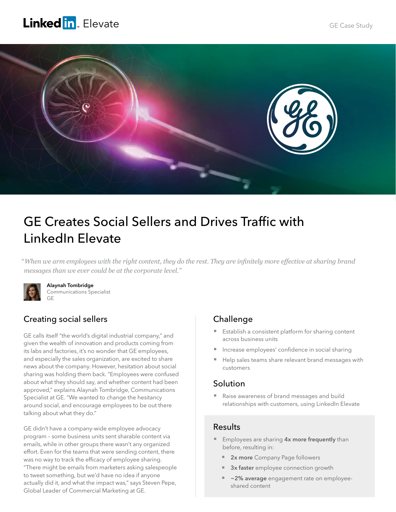## **Linked in** Elevate



# GE Creates Social Sellers and Drives Traffic with LinkedIn Elevate

*" When we arm employees with the right content, they do the rest. They are infinitely more effective at sharing brand messages than we ever could be at the corporate level."* 



Alaynah Tombridge Communications Specialist GE

## Creating social sellers

GE calls itself "the world's digital industrial company," and given the wealth of innovation and products coming from its labs and factories, it's no wonder that GE employees, and especially the sales organization, are excited to share news about the company. However, hesitation about social sharing was holding them back. "Employees were confused about what they should say, and whether content had been approved," explains Alaynah Tombridge, Communications Specialist at GE. "We wanted to change the hesitancy around social, and encourage employees to be out there talking about what they do."

GE didn't have a company-wide employee advocacy program – some business units sent sharable content via emails, while in other groups there wasn't any organized effort. Even for the teams that were sending content, there was no way to track the efficacy of employee sharing. "There might be emails from marketers asking salespeople to tweet something, but we'd have no idea if anyone actually did it, and what the impact was," says Steven Pepe, Global Leader of Commercial Marketing at GE.

### Challenge

- Establish a consistent platform for sharing content across business units
- Increase employees' confidence in social sharing
- Help sales teams share relevant brand messages with customers

#### Solution

■ Raise awareness of brand messages and build relationships with customers, using LinkedIn Elevate

#### Results

- **Employees are sharing 4x more frequently** than before, resulting in:
	- 2x more Company Page followers
	- 3x faster employee connection growth
	- ~2% average engagement rate on employeeshared content